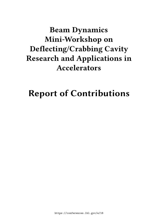## **Beam Dynamics Mini-Workshop on Deflecting/Crabbing Cavity Research and Applications in Accelerators**

# **Report of Contributions**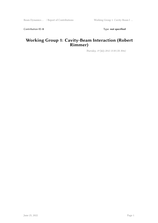Contribution ID: 0 Type: not specified

#### **Working Group 1: Cavity-Beam Interaction (Robert Rimmer)**

*Thursday, 19 July 2012 13:30 (1h 30m)*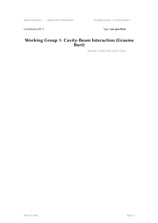Contribution ID: 1 Type: **not specified** 

#### **Working Group 1: Cavity-Beam Interaction (Graeme Burt)**

*Thursday, 19 July 2012 15:30 (1 hour)*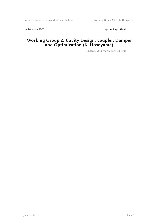Contribution ID: 2 Type: **not specified** 

#### **Working Group 2: Cavity Design: coupler, Damper and Optimization (K. Hosoyama)**

*Thursday, 19 July 2012 16:30 (1h 15m)*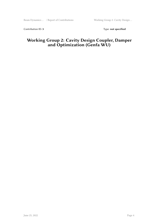Contribution ID: 3 Type: **not specified** 

#### **Working Group 2: Cavity Design Coupler, Damper and Optimization (Genfa WU)**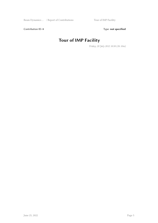Contribution ID: 4 Type: **not specified** 

## **Tour of IMP Facility**

*Friday, 20 July 2012 10:50 (1h 10m)*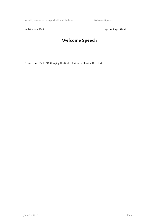Beam Dynamics ... / Report of Contributions Welcome Speech

Contribution ID: 5 Type: **not specified** 

## **Welcome Speech**

**Presenter:** Dr XIAO, Guoqing (Institute of Modern Physics, Director)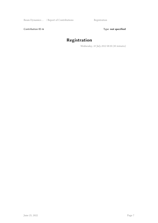Contribution ID: 6 Type: not specified

## **Registration**

*Wednesday, 18 July 2012 08:30 (30 minutes)*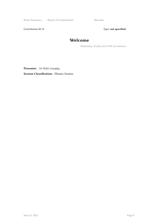Beam Dynamics ... / Report of Contributions Welcome

Contribution ID: 9 Type: **not specified** 

#### **Welcome**

*Wednesday, 18 July 2012 09:00 (10 minutes)*

**Presenter:** Dr XIAO, Guoqing **Session Classification:** Plenary Session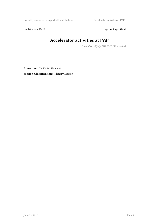Beam Dynamics … / Report of Contributions Accelerator activities at IMP

Contribution ID: 10 **Type:** not specified

### **Accelerator activities at IMP**

*Wednesday, 18 July 2012 09:20 (30 minutes)*

**Presenter:** Dr ZHAO, Hongwei **Session Classification:** Plenary Session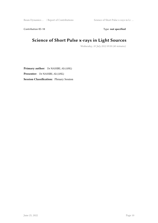Contribution ID: 11 Type: **not specified** 

### **Science of Short Pulse x-rays in Light Sources**

*Wednesday, 18 July 2012 09:50 (40 minutes)*

**Primary author:** Dr NASSIRI, Ali (ANL) **Presenter:** Dr NASSIRI, Ali (ANL) **Session Classification:** Plenary Session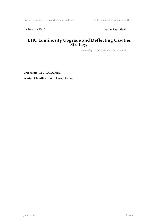Contribution ID: 12 Type: **not specified** 

#### **LHC Luminosity Upgrade and Deflecting Cavities Strategy**

*Wednesday, 18 July 2012 11:00 (30 minutes)*

**Presenter:** Dr CALAGA, Rama **Session Classification:** Plenary Session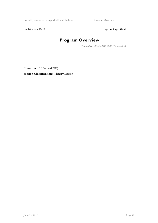Beam Dynamics … / Report of Contributions Program Overview

Contribution ID: 13 Type: **not specified** 

## **Program Overview**

*Wednesday, 18 July 2012 09:10 (10 minutes)*

**Presenter:** LI, Derun (LBNL)

**Session Classification:** Plenary Session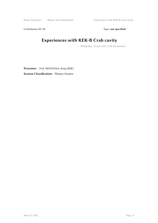Beam Dynamics ... / Report of Contributions **Experiences** with KEK-B Crab cavity

Contribution ID: 15 Type: **not specified** 

## **Experiences with KEK-B Crab cavity**

*Wednesday, 18 July 2012 11:30 (30 minutes)*

**Presenter:** Prof. HOSOYAMA, Kenji (KEK) **Session Classification:** Plenary Session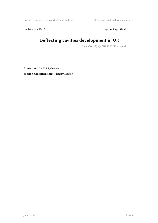Beam Dynamics … / Report of Contributions Deflecting cavities development in …

Contribution ID: 16 Type: not specified

## **Deflecting cavities development in UK**

*Wednesday, 18 July 2012 13:30 (30 minutes)*

**Presenter:** Dr BURT, Graeme

**Session Classification:** Plenary Session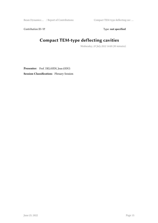Contribution ID: 17 Type: **not specified** 

## **Compact TEM-type deflecting cavities**

*Wednesday, 18 July 2012 14:00 (30 minutes)*

**Presenter:** Prof. DELAYEN, Jean (ODU)

**Session Classification:** Plenary Session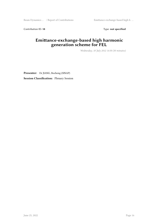Beam Dynamics … / Report of Contributions Emittance-exchange-based high h …

Contribution ID: 18 Type: **not specified** 

#### **Emittance-exchange-based high harmonic generation scheme for FEL**

*Wednesday, 18 July 2012 14:30 (30 minutes)*

**Presenter:** Dr JIANG, Bocheng (SINAP) **Session Classification:** Plenary Session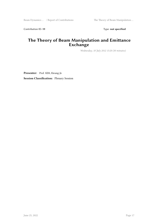Contribution ID: 19 Type: **not specified** 

#### **The Theory of Beam Manipulation and Emittance Exchange**

*Wednesday, 18 July 2012 15:20 (30 minutes)*

**Presenter:** Prof. KIM, Kwang-Je **Session Classification:** Plenary Session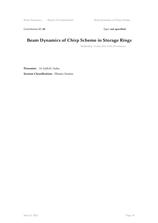Contribution ID: 20 Type: **not specified** 

### **Beam Dynamics of Chirp Scheme in Storage Rings**

*Wednesday, 18 July 2012 15:50 (30 minutes)*

**Presenter:** Dr SAJEAV, Vadim **Session Classification:** Plenary Session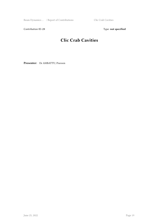Beam Dynamics ... / Report of Contributions Clic Crab Cavities

Contribution ID: 21 Type: **not specified** 

## **Clic Crab Cavities**

**Presenter:** Dr AMBATTU, Praveen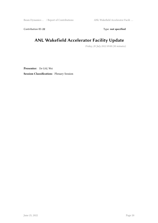Beam Dynamics … / Report of Contributions ANL Wakefield Accelerator Facili …

Contribution ID: 22 Type: **not specified** 

### **ANL Wakefield Accelerator Facility Update**

*Friday, 20 July 2012 09:00 (30 minutes)*

**Presenter:** Dr GAI, Wei

**Session Classification:** Plenary Session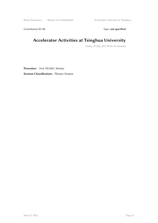Beam Dynamics … / Report of Contributions Accelerator Activities at Tsinghua ...

Contribution ID: 23 Type: **not specified** 

### **Accelerator Activities at Tsinghua University**

*Friday, 20 July 2012 09:30 (30 minutes)*

**Presenter:** Prof. HUANG, Wenhui **Session Classification:** Plenary Session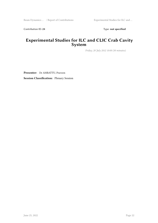Contribution ID: 24 Type: **not specified** 

#### **Experimental Studies for ILC and CLIC Crab Cavity System**

*Friday, 20 July 2012 10:00 (30 minutes)*

**Presenter:** Dr AMBATTU, Praveen **Session Classification:** Plenary Session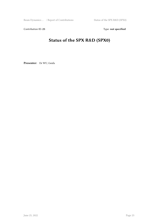Contribution ID: 25 Type: **not specified** 

## **Status of the SPX R&D (SPX0)**

**Presenter:** Dr WU, Genfa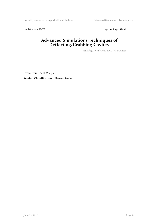Contribution ID: 26 Type: **not specified** 

#### **Advanced Simulations Techniques of Deflecting/Crabbing Cavites**

*Thursday, 19 July 2012 11:00 (30 minutes)*

**Presenter:** Dr LI, Zenghai **Session Classification:** Plenary Session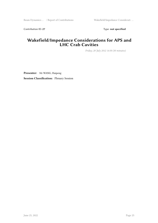Contribution ID: 27 Type: **not specified** 

#### **Wakefield/Impedance Considerations for APS and LHC Crab Cavities**

*Friday, 20 July 2012 14:30 (30 minutes)*

**Presenter:** Mr WANG, Haipeng **Session Classification:** Plenary Session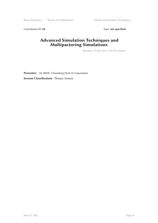Contribution ID: 28 Type: **not specified** 

#### **Advanced Simulation Techniques and Multipactoring Simulations**

*Thursday, 19 July 2012 11:30 (30 minutes)*

**Presenter:** Dr ZHOU, Chuandong (Tech-X Corporation) **Session Classification:** Plenary Session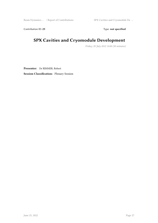Beam Dynamics … / Report of Contributions SPX Cavities and Cryomodule De …

Contribution ID: 29 Type: **not specified** 

### **SPX Cavities and Cryomodule Development**

*Friday, 20 July 2012 14:00 (30 minutes)*

**Presenter:** Dr RIMMER, Robert **Session Classification:** Plenary Session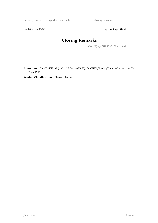Beam Dynamics ... / Report of Contributions Closing Remarks

Contribution ID: 30 Type: **not specified** 

## **Closing Remarks**

*Friday, 20 July 2012 15:00 (15 minutes)*

**Presenters:** Dr NASSIRI, Ali (ANL); LI, Derun (LBNL); Dr CHEN, Huaibi (Tsinghua University); Dr HE, Yuan (IMP)

**Session Classification:** Plenary Session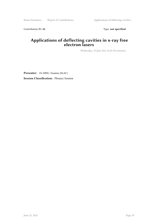Beam Dynamics ... / Report of Contributions Applications of deflecting cavities ...

Contribution ID: 32 Type: **not specified** 

#### **Applications of deflecting cavities in x-ray free electron lasers**

*Wednesday, 18 July 2012 16:20 (30 minutes)*

**Presenter:** Dr DING, Yuantao (SLAC) **Session Classification:** Plenary Session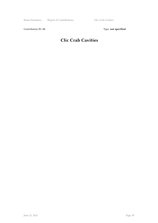Contribution ID: 33 Type: **not specified** 

## **Clic Crab Cavities**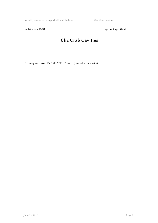Beam Dynamics ... / Report of Contributions Clic Crab Cavities

Contribution ID: 34 Type: **not specified** 

### **Clic Crab Cavities**

Primary author: Dr AMBATTU, Praveen (Lancaster University)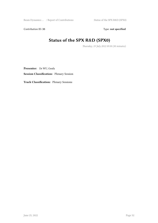Contribution ID: 35 Type: **not specified** 

## **Status of the SPX R&D (SPX0)**

*Thursday, 19 July 2012 09:30 (30 minutes)*

**Presenter:** Dr WU, Genfa

**Session Classification:** Plenary Session

**Track Classification:** Plenary Sessions